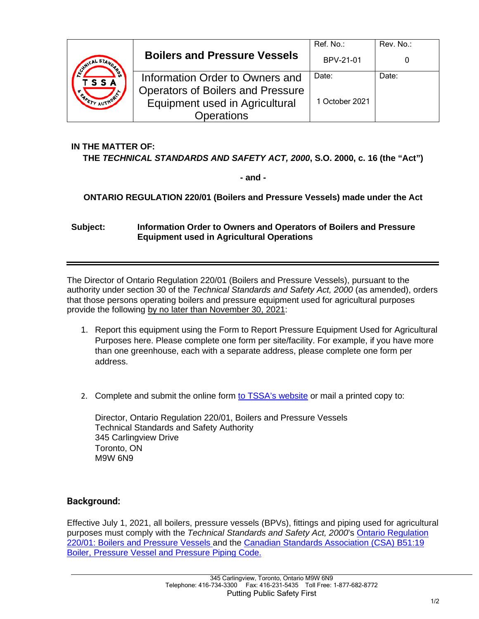|                           |                                                                            | Ref. No.:      | Rev. No.: |
|---------------------------|----------------------------------------------------------------------------|----------------|-----------|
| WICAL STAND<br><b>SSA</b> | <b>Boilers and Pressure Vessels</b>                                        | BPV-21-01      |           |
|                           | Information Order to Owners and                                            | Date:          | Date:     |
|                           | <b>Operators of Boilers and Pressure</b><br>Equipment used in Agricultural | 1 October 2021 |           |
|                           | <b>Operations</b>                                                          |                |           |

### **IN THE MATTER OF:**

#### **THE** *TECHNICAL STANDARDS AND SAFETY ACT, 2000***, S.O. 2000, c. 16 (the "Act")**

**- and -**

### **ONTARIO REGULATION 220/01 (Boilers and Pressure Vessels) made under the Act**

#### **Subject: Information Order to Owners and Operators of Boilers and Pressure Equipment used in Agricultural Operations**

The Director of Ontario Regulation 220/01 (Boilers and Pressure Vessels), pursuant to the authority under section 30 of the *Technical Standards and Safety Act, 2000* (as amended), orders that those persons operating boilers and pressure equipment used for agricultural purposes provide the following by no later than November 30, 2021:

- 1. Report this equipment using the Form to Report Pressure Equipment Used for Agricultural Purposes here. Please complete one form per site/facility. For example, if you have more than one greenhouse, each with a separate address, please complete one form per address.
- 2. Complete and submit the online form [to TSSA's website](https://forms.tssa.org/Boilers-or-Pressure-Equipment-Agricultural-Use?previewmode=23362917-4250-4cb0-a1af-ad020179822c) or mail a printed copy to:

Director, Ontario Regulation 220/01, Boilers and Pressure Vessels Technical Standards and Safety Authority 345 Carlingview Drive Toronto, ON M9W 6N9

### **Background:**

Effective July 1, 2021, all boilers, pressure vessels (BPVs), fittings and piping used for agricultural purposes must comply with the *Technical Standards and Safety Act, 2000*'s [Ontario Regulation](https://www.ontario.ca/laws/regulation/010220)  [220/01: Boilers and Pressure Vessels a](https://www.ontario.ca/laws/regulation/010220)nd the [Canadian Standards Association \(CSA\) B51:19](https://www.csagroup.org/store/product/2701790/)  [Boiler, Pressure Vessel and Pressure Piping Code.](https://www.csagroup.org/store/product/2701790/)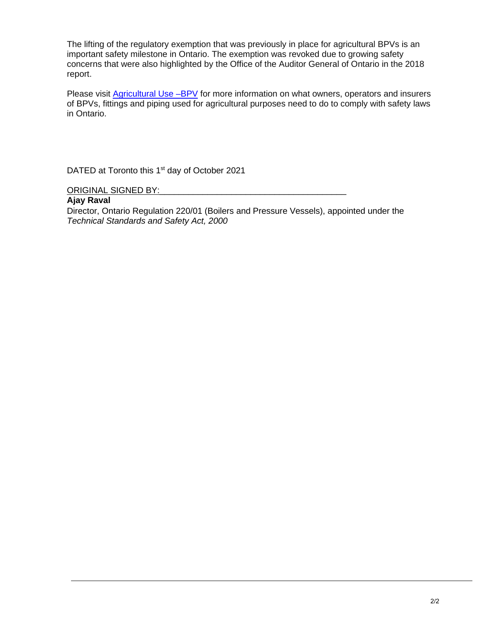The lifting of the regulatory exemption that was previously in place for agricultural BPVs is an important safety milestone in Ontario. The exemption was revoked due to growing safety concerns that were also highlighted by the Office of the Auditor General of Ontario in the 2018 report.

Please visit **Agricultural Use –BPV** for more information on what owners, operators and insurers of BPVs, fittings and piping used for agricultural purposes need to do to comply with safety laws in Ontario.

DATED at Toronto this 1<sup>st</sup> day of October 2021

ORIGINAL SIGNED BY:

#### **Ajay Raval**

Director, Ontario Regulation 220/01 (Boilers and Pressure Vessels), appointed under the *Technical Standards and Safety Act, 2000*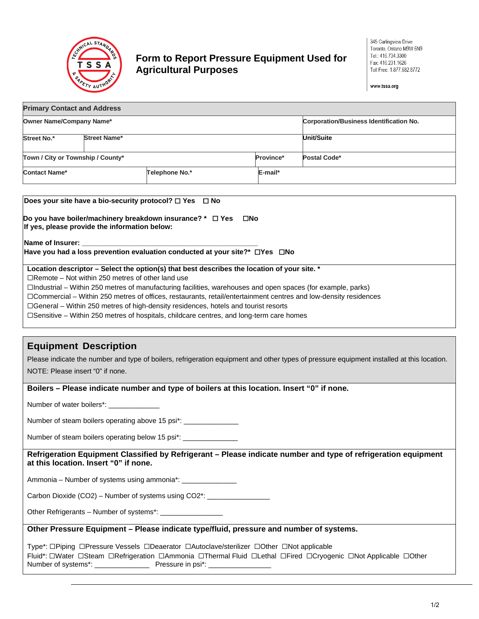

### **Form to Report Pressure Equipment Used for Agricultural Purposes**

www.tssa.org

| <b>Primary Contact and Address</b> |                     |                |            |                                                |  |  |
|------------------------------------|---------------------|----------------|------------|------------------------------------------------|--|--|
| Owner Name/Company Name*           |                     |                |            | <b>Corporation/Business Identification No.</b> |  |  |
| Street No.*                        | <b>Street Name*</b> |                |            | <b>Unit/Suite</b>                              |  |  |
| Town / City or Township / County*  |                     |                | Province*  | Postal Code*                                   |  |  |
| Contact Name*                      |                     | Telephone No.* | $E$ -mail* |                                                |  |  |
|                                    |                     |                |            |                                                |  |  |

| Does your site have a bio-security protocol? $\Box$ Yes $\Box$ No                                                                                                                                                                   |
|-------------------------------------------------------------------------------------------------------------------------------------------------------------------------------------------------------------------------------------|
| Do you have boiler/machinery breakdown insurance? $*$ $\square$ Yes<br>⊟No<br>If yes, please provide the information below:                                                                                                         |
| <b>IName of Insurer:</b> the contract of the contract of the contract of the contract of the contract of the contract of the contract of the contract of the contract of the contract of the contract of the contract of the contra |
| Have you had a loss prevention evaluation conducted at your site?* $\Box$ Yes $\Box$ No                                                                                                                                             |
| Location descriptor - Select the option(s) that best describes the location of your site. *                                                                                                                                         |
| $\Box$ Remote – Not within 250 metres of other land use                                                                                                                                                                             |
| $\Box$ Industrial – Within 250 metres of manufacturing facilities, warehouses and open spaces (for example, parks)                                                                                                                  |
| □Commercial – Within 250 metres of offices, restaurants, retail/entertainment centres and low-density residences                                                                                                                    |
| $\Box$ General – Within 250 metres of high-density residences, hotels and tourist resorts                                                                                                                                           |
| $\Box$ Sensitive – Within 250 metres of hospitals, childcare centres, and long-term care homes                                                                                                                                      |

### **Equipment Description**

Please indicate the number and type of boilers, refrigeration equipment and other types of pressure equipment installed at this location. NOTE: Please insert "0" if none.

#### **Boilers – Please indicate number and type of boilers at this location. Insert "0" if none.**

Number of water boilers\*: \_\_\_\_\_\_\_\_\_\_\_\_\_

Number of steam boilers operating above 15 psi\*: \_\_\_\_\_\_\_\_\_\_\_\_\_\_

Number of steam boilers operating below 15 psi\*: \_\_\_\_

**Refrigeration Equipment Classified by Refrigerant – Please indicate number and type of refrigeration equipment at this location. Insert "0" if none.**

Ammonia – Number of systems using ammonia\*: \_\_\_\_\_

Carbon Dioxide (CO2) – Number of systems using CO2\*: \_\_\_\_\_\_\_\_\_\_\_\_\_\_\_

Other Refrigerants – Number of systems\*: \_\_\_\_\_\_\_\_\_\_\_\_\_\_\_\_

#### **Other Pressure Equipment – Please indicate type/fluid, pressure and number of systems.**

Type\*: ☐Piping ☐Pressure Vessels ☐Deaerator ☐Autoclave/sterilizer ☐Other ☐Not applicable Fluid\*: ☐Water ☐Steam ☐Refrigeration ☐Ammonia ☐Thermal Fluid ☐Lethal ☐Fired ☐Cryogenic ☐Not Applicable ☐Other Number of systems\*: Pressure in psi\*: